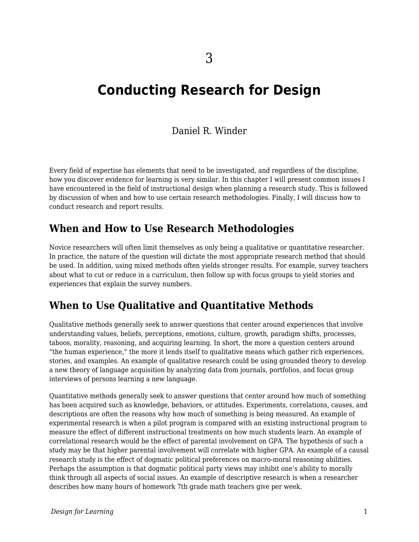# **Conducting Research for Design**

# Daniel R. Winder

Every field of expertise has elements that need to be investigated, and regardless of the discipline, how you discover evidence for learning is very similar. In this chapter I will present common issues I have encountered in the field of instructional design when planning a research study. This is followed by discussion of when and how to use certain research methodologies. Finally, I will discuss how to conduct research and report results.

# **When and How to Use Research Methodologies**

Novice researchers will often limit themselves as only being a qualitative or quantitative researcher. In practice, the nature of the question will dictate the most appropriate research method that should be used. In addition, using mixed methods often yields stronger results. For example, survey teachers about what to cut or reduce in a curriculum, then follow up with focus groups to yield stories and experiences that explain the survey numbers.

# **When to Use Qualitative and Quantitative Methods**

Qualitative methods generally seek to answer questions that center around experiences that involve understanding values, beliefs, perceptions, emotions, culture, growth, paradigm shifts, processes, taboos, morality, reasoning, and acquiring learning. In short, the more a question centers around "the human experience," the more it lends itself to qualitative means which gather rich experiences, stories, and examples. An example of qualitative research could be using grounded theory to develop a new theory of language acquisition by analyzing data from journals, portfolios, and focus group interviews of persons learning a new language.

Quantitative methods generally seek to answer questions that center around how much of something has been acquired such as knowledge, behaviors, or attitudes. Experiments, correlations, causes, and descriptions are often the reasons why how much of something is being measured. An example of experimental research is when a pilot program is compared with an existing instructional program to measure the effect of different instructional treatments on how much students learn. An example of correlational research would be the effect of parental involvement on GPA. The hypothesis of such a study may be that higher parental involvement will correlate with higher GPA. An example of a causal research study is the effect of dogmatic political preferences on macro-moral reasoning abilities. Perhaps the assumption is that dogmatic political party views may inhibit one's ability to morally think through all aspects of social issues. An example of descriptive research is when a researcher describes how many hours of homework 7th grade math teachers give per week.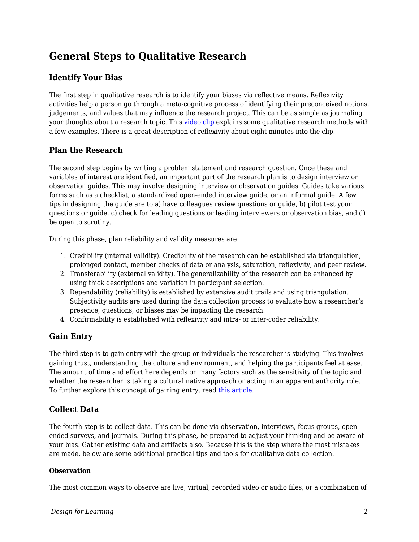# **General Steps to Qualitative Research**

## **Identify Your Bias**

The first step in qualitative research is to identify your biases via reflective means. Reflexivity activities help a person go through a meta-cognitive process of identifying their preconceived notions, judgements, and values that may influence the research project. This can be as simple as journaling your thoughts about a research topic. This [video clip](https://www.youtube.com/watch?v=3aYRlNrO6oA&feature=youtu.be&t=81) explains some qualitative research methods with a few examples. There is a great description of reflexivity about eight minutes into the clip.

## **Plan the Research**

The second step begins by writing a problem statement and research question. Once these and variables of interest are identified, an important part of the research plan is to design interview or observation guides. This may involve designing interview or observation guides. Guides take various forms such as a checklist, a standardized open-ended interview guide, or an informal guide. A few tips in designing the guide are to a) have colleagues review questions or guide, b) pilot test your questions or guide, c) check for leading questions or leading interviewers or observation bias, and d) be open to scrutiny.

During this phase, plan reliability and validity measures are

- 1. Credibility (internal validity). Credibility of the research can be established via triangulation, prolonged contact, member checks of data or analysis, saturation, reflexivity, and peer review.
- 2. Transferability (external validity). The generalizability of the research can be enhanced by using thick descriptions and variation in participant selection.
- 3. Dependability (reliability) is established by extensive audit trails and using triangulation. Subjectivity audits are used during the data collection process to evaluate how a researcher's presence, questions, or biases may be impacting the research.
- 4. Confirmability is established with reflexivity and intra- or inter-coder reliability.

# **Gain Entry**

The third step is to gain entry with the group or individuals the researcher is studying. This involves gaining trust, understanding the culture and environment, and helping the participants feel at ease. The amount of time and effort here depends on many factors such as the sensitivity of the topic and whether the researcher is taking a cultural native approach or acting in an apparent authority role. To further explore this concept of gaining entry, read [this article](https://www.researchgate.net/publication/266879621_Strategies_for_gaining_access_to_organisations_and_informants_in_qualitative_studies).

# **Collect Data**

The fourth step is to collect data. This can be done via observation, interviews, focus groups, openended surveys, and journals. During this phase, be prepared to adjust your thinking and be aware of your bias. Gather existing data and artifacts also. Because this is the step where the most mistakes are made, below are some additional practical tips and tools for qualitative data collection.

### **Observation**

The most common ways to observe are live, virtual, recorded video or audio files, or a combination of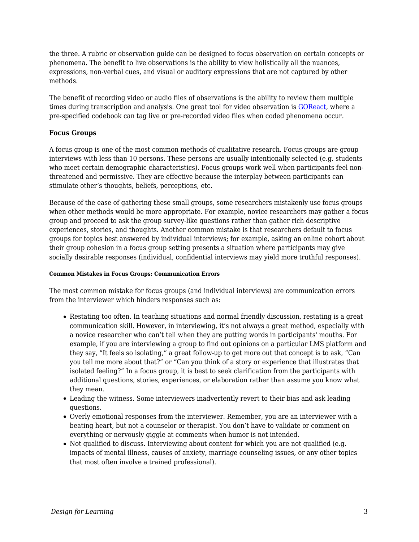the three. A rubric or observation guide can be designed to focus observation on certain concepts or phenomena. The benefit to live observations is the ability to view holistically all the nuances, expressions, non-verbal cues, and visual or auditory expressions that are not captured by other methods.

The benefit of recording video or audio files of observations is the ability to review them multiple times during transcription and analysis. One great tool for video observation is [GOReact,](https://get.goreact.com/) where a pre-specified codebook can tag live or pre-recorded video files when coded phenomena occur.

#### **Focus Groups**

A focus group is one of the most common methods of qualitative research. Focus groups are group interviews with less than 10 persons. These persons are usually intentionally selected (e.g. students who meet certain demographic characteristics). Focus groups work well when participants feel nonthreatened and permissive. They are effective because the interplay between participants can stimulate other's thoughts, beliefs, perceptions, etc.

Because of the ease of gathering these small groups, some researchers mistakenly use focus groups when other methods would be more appropriate. For example, novice researchers may gather a focus group and proceed to ask the group survey-like questions rather than gather rich descriptive experiences, stories, and thoughts. Another common mistake is that researchers default to focus groups for topics best answered by individual interviews; for example, asking an online cohort about their group cohesion in a focus group setting presents a situation where participants may give socially desirable responses (individual, confidential interviews may yield more truthful responses).

#### **Common Mistakes in Focus Groups: Communication Errors**

The most common mistake for focus groups (and individual interviews) are communication errors from the interviewer which hinders responses such as:

- Restating too often. In teaching situations and normal friendly discussion, restating is a great communication skill. However, in interviewing, it's not always a great method, especially with a novice researcher who can't tell when they are putting words in participants' mouths. For example, if you are interviewing a group to find out opinions on a particular LMS platform and they say, "It feels so isolating," a great follow-up to get more out that concept is to ask, "Can you tell me more about that?" or "Can you think of a story or experience that illustrates that isolated feeling?" In a focus group, it is best to seek clarification from the participants with additional questions, stories, experiences, or elaboration rather than assume you know what they mean.
- Leading the witness. Some interviewers inadvertently revert to their bias and ask leading questions.
- Overly emotional responses from the interviewer. Remember, you are an interviewer with a beating heart, but not a counselor or therapist. You don't have to validate or comment on everything or nervously giggle at comments when humor is not intended.
- Not qualified to discuss. Interviewing about content for which you are not qualified (e.g. impacts of mental illness, causes of anxiety, marriage counseling issues, or any other topics that most often involve a trained professional).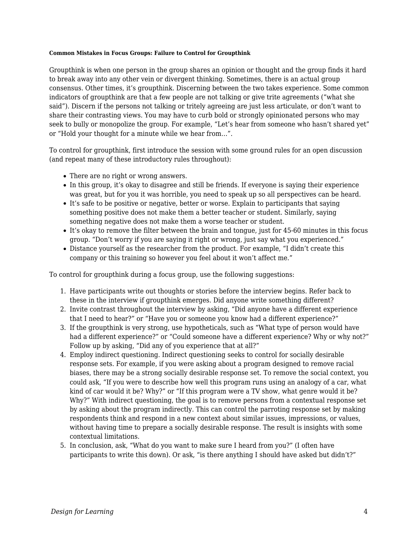#### **Common Mistakes in Focus Groups: Failure to Control for Groupthink**

Groupthink is when one person in the group shares an opinion or thought and the group finds it hard to break away into any other vein or divergent thinking. Sometimes, there is an actual group consensus. Other times, it's groupthink. Discerning between the two takes experience. Some common indicators of groupthink are that a few people are not talking or give trite agreements ("what she said"). Discern if the persons not talking or tritely agreeing are just less articulate, or don't want to share their contrasting views. You may have to curb bold or strongly opinionated persons who may seek to bully or monopolize the group. For example, "Let's hear from someone who hasn't shared yet" or "Hold your thought for a minute while we hear from…".

To control for groupthink, first introduce the session with some ground rules for an open discussion (and repeat many of these introductory rules throughout):

- There are no right or wrong answers.
- In this group, it's okay to disagree and still be friends. If everyone is saying their experience was great, but for you it was horrible, you need to speak up so all perspectives can be heard.
- It's safe to be positive or negative, better or worse. Explain to participants that saying something positive does not make them a better teacher or student. Similarly, saying something negative does not make them a worse teacher or student.
- It's okay to remove the filter between the brain and tongue, just for 45-60 minutes in this focus group. "Don't worry if you are saying it right or wrong, just say what you experienced."
- Distance yourself as the researcher from the product. For example, "I didn't create this company or this training so however you feel about it won't affect me."

To control for groupthink during a focus group, use the following suggestions:

- 1. Have participants write out thoughts or stories before the interview begins. Refer back to these in the interview if groupthink emerges. Did anyone write something different?
- 2. Invite contrast throughout the interview by asking, "Did anyone have a different experience that I need to hear?" or "Have you or someone you know had a different experience?"
- 3. If the groupthink is very strong, use hypotheticals, such as "What type of person would have had a different experience?" or "Could someone have a different experience? Why or why not?" Follow up by asking, "Did any of you experience that at all?"
- 4. Employ indirect questioning. Indirect questioning seeks to control for socially desirable response sets. For example, if you were asking about a program designed to remove racial biases, there may be a strong socially desirable response set. To remove the social context, you could ask, "If you were to describe how well this program runs using an analogy of a car, what kind of car would it be? Why?" or "If this program were a TV show, what genre would it be? Why?" With indirect questioning, the goal is to remove persons from a contextual response set by asking about the program indirectly. This can control the parroting response set by making respondents think and respond in a new context about similar issues, impressions, or values, without having time to prepare a socially desirable response. The result is insights with some contextual limitations.
- 5. In conclusion, ask, "What do you want to make sure I heard from you?" (I often have participants to write this down). Or ask, "is there anything I should have asked but didn't?"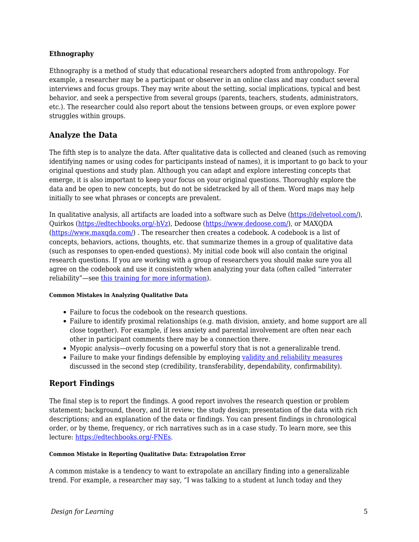#### **Ethnography**

Ethnography is a method of study that educational researchers adopted from anthropology. For example, a researcher may be a participant or observer in an online class and may conduct several interviews and focus groups. They may write about the setting, social implications, typical and best behavior, and seek a perspective from several groups (parents, teachers, students, administrators, etc.). The researcher could also report about the tensions between groups, or even explore power struggles within groups.

### **Analyze the Data**

The fifth step is to analyze the data. After qualitative data is collected and cleaned (such as removing identifying names or using codes for participants instead of names), it is important to go back to your original questions and study plan. Although you can adapt and explore interesting concepts that emerge, it is also important to keep your focus on your original questions. Thoroughly explore the data and be open to new concepts, but do not be sidetracked by all of them. Word maps may help initially to see what phrases or concepts are prevalent.

In qualitative analysis, all artifacts are loaded into a software such as Delve [\(https://delvetool.com/\)](https://delvetool.com/), Quirkos [\(https://edtechbooks.org/-hVz\)](https://www.quirkos.com/index.html), Dedoose [\(https://www.dedoose.com/](https://www.dedoose.com/)), or MAXQDA ([https://www.maxqda.com/\)](https://www.maxqda.com/) . The researcher then creates a codebook. A codebook is a list of concepts, behaviors, actions, thoughts, etc. that summarize themes in a group of qualitative data (such as responses to open-ended questions). My initial code book will also contain the original research questions. If you are working with a group of researchers you should make sure you all agree on the codebook and use it consistently when analyzing your data (often called "interrater reliability"—see [this training for more information](https://slideplayer.com/slide/4337331/)).

#### **Common Mistakes in Analyzing Qualitative Data**

- Failure to focus the codebook on the research questions.
- Failure to identify proximal relationships (e.g. math division, anxiety, and home support are all close together). For example, if less anxiety and parental involvement are often near each other in participant comments there may be a connection there.
- Myopic analysis—overly focusing on a powerful story that is not a generalizable trend.
- Failure to make your findings defensible by employing [validity and reliability measures](https://www.dissertationrecipes.com/reliability-validity-qualitative-studies/#:~:text=In%20qualitative%20research%2C%20validity%E2%80%93or,and%20results%20of%20the%20study) discussed in the second step (credibility, transferability, dependability, confirmability).

## **Report Findings**

The final step is to report the findings. A good report involves the research question or problem statement; background, theory, and lit review; the study design; presentation of the data with rich descriptions; and an explanation of the data or findings. You can present findings in chronological order, or by theme, frequency, or rich narratives such as in a case study. To learn more, see this lecture: [https://edtechbooks.org/-FNEs.](https://www.youtube.com/watch?v=lFj2ucSP2jc)

#### **Common Mistake in Reporting Qualitative Data: Extrapolation Error**

A common mistake is a tendency to want to extrapolate an ancillary finding into a generalizable trend. For example, a researcher may say, "I was talking to a student at lunch today and they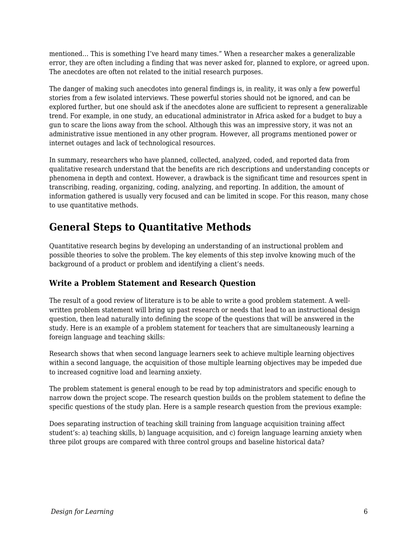mentioned… This is something I've heard many times." When a researcher makes a generalizable error, they are often including a finding that was never asked for, planned to explore, or agreed upon. The anecdotes are often not related to the initial research purposes.

The danger of making such anecdotes into general findings is, in reality, it was only a few powerful stories from a few isolated interviews. These powerful stories should not be ignored, and can be explored further, but one should ask if the anecdotes alone are sufficient to represent a generalizable trend. For example, in one study, an educational administrator in Africa asked for a budget to buy a gun to scare the lions away from the school. Although this was an impressive story, it was not an administrative issue mentioned in any other program. However, all programs mentioned power or internet outages and lack of technological resources.

In summary, researchers who have planned, collected, analyzed, coded, and reported data from qualitative research understand that the benefits are rich descriptions and understanding concepts or phenomena in depth and context. However, a drawback is the significant time and resources spent in transcribing, reading, organizing, coding, analyzing, and reporting. In addition, the amount of information gathered is usually very focused and can be limited in scope. For this reason, many chose to use quantitative methods.

# **General Steps to Quantitative Methods**

Quantitative research begins by developing an understanding of an instructional problem and possible theories to solve the problem. The key elements of this step involve knowing much of the background of a product or problem and identifying a client's needs.

## **Write a Problem Statement and Research Question**

The result of a good review of literature is to be able to write a good problem statement. A wellwritten problem statement will bring up past research or needs that lead to an instructional design question, then lead naturally into defining the scope of the questions that will be answered in the study. Here is an example of a problem statement for teachers that are simultaneously learning a foreign language and teaching skills:

Research shows that when second language learners seek to achieve multiple learning objectives within a second language, the acquisition of those multiple learning objectives may be impeded due to increased cognitive load and learning anxiety.

The problem statement is general enough to be read by top administrators and specific enough to narrow down the project scope. The research question builds on the problem statement to define the specific questions of the study plan. Here is a sample research question from the previous example:

Does separating instruction of teaching skill training from language acquisition training affect student's: a) teaching skills, b) language acquisition, and c) foreign language learning anxiety when three pilot groups are compared with three control groups and baseline historical data?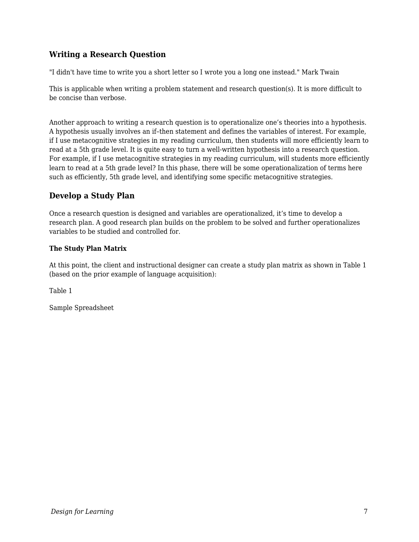## **Writing a Research Question**

"I didn't have time to write you a short letter so I wrote you a long one instead." Mark Twain

This is applicable when writing a problem statement and research question(s). It is more difficult to be concise than verbose.

Another approach to writing a research question is to operationalize one's theories into a hypothesis. A hypothesis usually involves an if–then statement and defines the variables of interest. For example, if I use metacognitive strategies in my reading curriculum, then students will more efficiently learn to read at a 5th grade level. It is quite easy to turn a well-written hypothesis into a research question. For example, if I use metacognitive strategies in my reading curriculum, will students more efficiently learn to read at a 5th grade level? In this phase, there will be some operationalization of terms here such as efficiently, 5th grade level, and identifying some specific metacognitive strategies.

### **Develop a Study Plan**

Once a research question is designed and variables are operationalized, it's time to develop a research plan. A good research plan builds on the problem to be solved and further operationalizes variables to be studied and controlled for.

### **The Study Plan Matrix**

At this point, the client and instructional designer can create a study plan matrix as shown in Table 1 (based on the prior example of language acquisition):

Table 1

Sample Spreadsheet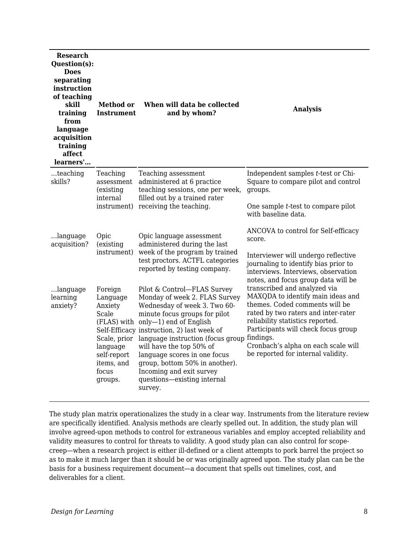| <b>Research</b><br>Question(s):<br><b>Does</b><br>separating<br>instruction<br>of teaching<br>skill<br>training<br>from<br>language<br>acquisition<br>training<br>affect<br>learners' | <b>Method or</b><br><b>Instrument</b>                                                                                | When will data be collected<br>and by whom?                                                                                                                                                                                                                                                                                                                                                                                | <b>Analysis</b>                                                                                                                                                                                                                                                                                                 |  |
|---------------------------------------------------------------------------------------------------------------------------------------------------------------------------------------|----------------------------------------------------------------------------------------------------------------------|----------------------------------------------------------------------------------------------------------------------------------------------------------------------------------------------------------------------------------------------------------------------------------------------------------------------------------------------------------------------------------------------------------------------------|-----------------------------------------------------------------------------------------------------------------------------------------------------------------------------------------------------------------------------------------------------------------------------------------------------------------|--|
| teaching<br>skills?                                                                                                                                                                   | Teaching<br>assessment<br>(existing)<br>internal<br>instrument)                                                      | Teaching assessment<br>administered at 6 practice<br>teaching sessions, one per week,<br>filled out by a trained rater<br>receiving the teaching.                                                                                                                                                                                                                                                                          | Independent samples t-test or Chi-<br>Square to compare pilot and control<br>groups.                                                                                                                                                                                                                            |  |
|                                                                                                                                                                                       |                                                                                                                      |                                                                                                                                                                                                                                                                                                                                                                                                                            | One sample t-test to compare pilot<br>with baseline data.                                                                                                                                                                                                                                                       |  |
| language<br>acquisition?                                                                                                                                                              | Opic<br>(existing<br>instrument)                                                                                     | Opic language assessment<br>administered during the last<br>week of the program by trained<br>test proctors. ACTFL categories<br>reported by testing company.                                                                                                                                                                                                                                                              | ANCOVA to control for Self-efficacy<br>score.                                                                                                                                                                                                                                                                   |  |
|                                                                                                                                                                                       |                                                                                                                      |                                                                                                                                                                                                                                                                                                                                                                                                                            | Interviewer will undergo reflective<br>journaling to identify bias prior to<br>interviews. Interviews, observation<br>notes, and focus group data will be                                                                                                                                                       |  |
| language<br>learning<br>anxiety?                                                                                                                                                      | Foreign<br>Language<br>Anxiety<br>Scale<br>Scale, prior<br>language<br>self-report<br>items, and<br>focus<br>groups. | Pilot & Control-FLAS Survey<br>Monday of week 2. FLAS Survey<br>Wednesday of week 3. Two 60-<br>minute focus groups for pilot<br>(FLAS) with only-1) end of English<br>Self-Efficacy instruction, 2) last week of<br>language instruction (focus group<br>will have the top 50% of<br>language scores in one focus<br>group, bottom 50% in another).<br>Incoming and exit survey<br>questions-existing internal<br>survey. | transcribed and analyzed via<br>MAXQDA to identify main ideas and<br>themes. Coded comments will be<br>rated by two raters and inter-rater<br>reliability statistics reported.<br>Participants will check focus group<br>findings.<br>Cronbach's alpha on each scale will<br>be reported for internal validity. |  |

The study plan matrix operationalizes the study in a clear way. Instruments from the literature review are specifically identified. Analysis methods are clearly spelled out. In addition, the study plan will involve agreed-upon methods to control for extraneous variables and employ accepted reliability and validity measures to control for threats to validity. A good study plan can also control for scopecreep—when a research project is either ill-defined or a client attempts to pork barrel the project so as to make it much larger than it should be or was originally agreed upon. The study plan can be the basis for a business requirement document—a document that spells out timelines, cost, and deliverables for a client.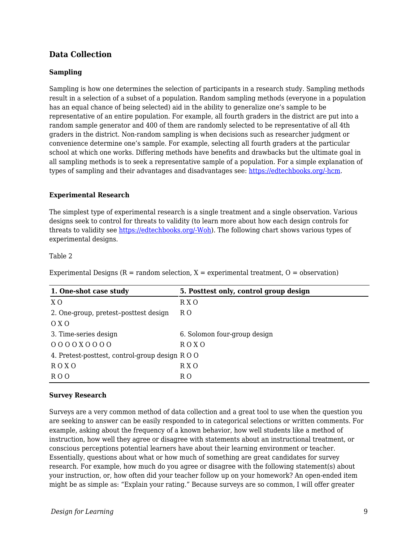### **Data Collection**

#### **Sampling**

Sampling is how one determines the selection of participants in a research study. Sampling methods result in a selection of a subset of a population. Random sampling methods (everyone in a population has an equal chance of being selected) aid in the ability to generalize one's sample to be representative of an entire population. For example, all fourth graders in the district are put into a random sample generator and 400 of them are randomly selected to be representative of all 4th graders in the district. Non-random sampling is when decisions such as researcher judgment or convenience determine one's sample. For example, selecting all fourth graders at the particular school at which one works. Differing methods have benefits and drawbacks but the ultimate goal in all sampling methods is to seek a representative sample of a population. For a simple explanation of types of sampling and their advantages and disadvantages see: [https://edtechbooks.org/-hcm.](https://limbd.org/sampling-design-types-of-sampling-design-advantages-of-probability-sampling-disadvantages-of-probability-sampling/)

#### **Experimental Research**

The simplest type of experimental research is a single treatment and a single observation. Various designs seek to control for threats to validity (to learn more about how each design controls for threats to validity see [https://edtechbooks.org/-Woh\)](https://bookdown.org/ripberjt/qrmbook/research-design.html). The following chart shows various types of experimental designs.

#### Table 2

Experimental Designs  $(R = random selection, X = experimental treatment, O = observation)$ 

| 1. One-shot case study                        | 5. Posttest only, control group design |  |
|-----------------------------------------------|----------------------------------------|--|
| X O                                           | R X O                                  |  |
| 2. One-group, pretest-posttest design         | R O                                    |  |
| 0 X 0                                         |                                        |  |
| 3. Time-series design                         | 6. Solomon four-group design           |  |
| 000000000                                     | ROX <sub>O</sub>                       |  |
| 4. Pretest-posttest, control-group design ROO |                                        |  |
| ROX <sub>O</sub>                              | R X O                                  |  |
| RO <sub>O</sub>                               | R O                                    |  |

#### **Survey Research**

Surveys are a very common method of data collection and a great tool to use when the question you are seeking to answer can be easily responded to in categorical selections or written comments. For example, asking about the frequency of a known behavior, how well students like a method of instruction, how well they agree or disagree with statements about an instructional treatment, or conscious perceptions potential learners have about their learning environment or teacher. Essentially, questions about what or how much of something are great candidates for survey research. For example, how much do you agree or disagree with the following statement(s) about your instruction, or, how often did your teacher follow up on your homework? An open-ended item might be as simple as: "Explain your rating." Because surveys are so common, I will offer greater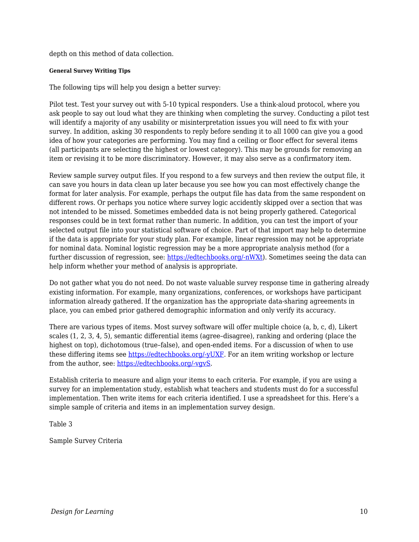depth on this method of data collection.

#### **General Survey Writing Tips**

The following tips will help you design a better survey:

Pilot test. Test your survey out with 5-10 typical responders. Use a think-aloud protocol, where you ask people to say out loud what they are thinking when completing the survey. Conducting a pilot test will identify a majority of any usability or misinterpretation issues you will need to fix with your survey. In addition, asking 30 respondents to reply before sending it to all 1000 can give you a good idea of how your categories are performing. You may find a ceiling or floor effect for several items (all participants are selecting the highest or lowest category). This may be grounds for removing an item or revising it to be more discriminatory. However, it may also serve as a confirmatory item.

Review sample survey output files. If you respond to a few surveys and then review the output file, it can save you hours in data clean up later because you see how you can most effectively change the format for later analysis. For example, perhaps the output file has data from the same respondent on different rows. Or perhaps you notice where survey logic accidently skipped over a section that was not intended to be missed. Sometimes embedded data is not being properly gathered. Categorical responses could be in text format rather than numeric. In addition, you can test the import of your selected output file into your statistical software of choice. Part of that import may help to determine if the data is appropriate for your study plan. For example, linear regression may not be appropriate for nominal data. Nominal logistic regression may be a more appropriate analysis method (for a further discussion of regression, see: [https://edtechbooks.org/-nWXt\)](https://statisticsbyjim.com/regression/choosing-regression-analysis/). Sometimes seeing the data can help inform whether your method of analysis is appropriate.

Do not gather what you do not need. Do not waste valuable survey response time in gathering already existing information. For example, many organizations, conferences, or workshops have participant information already gathered. If the organization has the appropriate data-sharing agreements in place, you can embed prior gathered demographic information and only verify its accuracy.

There are various types of items. Most survey software will offer multiple choice (a, b, c, d), Likert scales (1, 2, 3, 4, 5), semantic differential items (agree–disagree), ranking and ordering (place the highest on top), dichotomous (true–false), and open-ended items. For a discussion of when to use these differing items see [https://edtechbooks.org/-yUXF](https://citl.illinois.edu/citl-101/measurement-evaluation/exam-scoring/improving-your-test-questions). For an item writing workshop or lecture from the author, see: [https://edtechbooks.org/-vgvS.](https://slideplayer.com/slide/4837234/)

Establish criteria to measure and align your items to each criteria. For example, if you are using a survey for an implementation study, establish what teachers and students must do for a successful implementation. Then write items for each criteria identified. I use a spreadsheet for this. Here's a simple sample of criteria and items in an implementation survey design.

Table 3

Sample Survey Criteria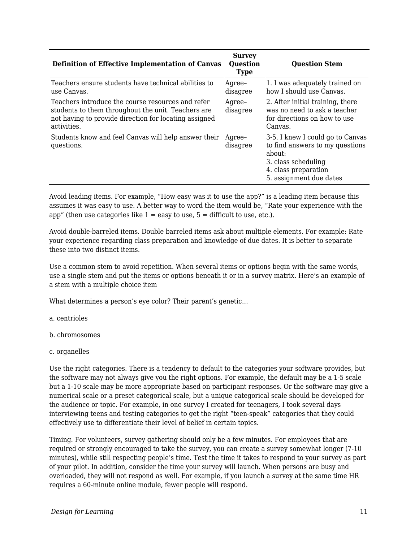| <b>Definition of Effective Implementation of Canvas</b>                                                                                                                         | <b>Survey</b><br><b>Question</b><br><b>Type</b> | <b>Question Stem</b>                                                                                                                                    |
|---------------------------------------------------------------------------------------------------------------------------------------------------------------------------------|-------------------------------------------------|---------------------------------------------------------------------------------------------------------------------------------------------------------|
| Teachers ensure students have technical abilities to<br>use Canvas.                                                                                                             | Agree-<br>disagree                              | 1. I was adequately trained on<br>how I should use Canvas.                                                                                              |
| Teachers introduce the course resources and refer<br>students to them throughout the unit. Teachers are<br>not having to provide direction for locating assigned<br>activities. | Agree-<br>disagree                              | 2. After initial training, there<br>was no need to ask a teacher<br>for directions on how to use<br>Canvas.                                             |
| Students know and feel Canvas will help answer their<br>questions.                                                                                                              | Agree-<br>disagree                              | 3-5. I knew I could go to Canvas<br>to find answers to my questions<br>about:<br>3. class scheduling<br>4. class preparation<br>5. assignment due dates |

Avoid leading items. For example, "How easy was it to use the app?" is a leading item because this assumes it was easy to use. A better way to word the item would be, "Rate your experience with the app" (then use categories like  $1 = e$ asy to use,  $5 =$  difficult to use, etc.).

Avoid double-barreled items. Double barreled items ask about multiple elements. For example: Rate your experience regarding class preparation and knowledge of due dates. It is better to separate these into two distinct items.

Use a common stem to avoid repetition. When several items or options begin with the same words, use a single stem and put the items or options beneath it or in a survey matrix. Here's an example of a stem with a multiple choice item

What determines a person's eye color? Their parent's genetic…

- a. centrioles
- b. chromosomes
- c. organelles

Use the right categories. There is a tendency to default to the categories your software provides, but the software may not always give you the right options. For example, the default may be a 1-5 scale but a 1-10 scale may be more appropriate based on participant responses. Or the software may give a numerical scale or a preset categorical scale, but a unique categorical scale should be developed for the audience or topic. For example, in one survey I created for teenagers, I took several days interviewing teens and testing categories to get the right "teen-speak" categories that they could effectively use to differentiate their level of belief in certain topics.

Timing. For volunteers, survey gathering should only be a few minutes. For employees that are required or strongly encouraged to take the survey, you can create a survey somewhat longer (7-10 minutes), while still respecting people's time. Test the time it takes to respond to your survey as part of your pilot. In addition, consider the time your survey will launch. When persons are busy and overloaded, they will not respond as well. For example, if you launch a survey at the same time HR requires a 60-minute online module, fewer people will respond.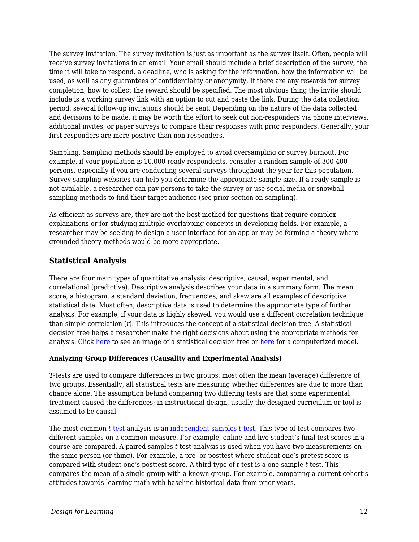The survey invitation. The survey invitation is just as important as the survey itself. Often, people will receive survey invitations in an email. Your email should include a brief description of the survey, the time it will take to respond, a deadline, who is asking for the information, how the information will be used, as well as any guarantees of confidentiality or anonymity. If there are any rewards for survey completion, how to collect the reward should be specified. The most obvious thing the invite should include is a working survey link with an option to cut and paste the link. During the data collection period, several follow-up invitations should be sent. Depending on the nature of the data collected and decisions to be made, it may be worth the effort to seek out non-responders via phone interviews, additional invites, or paper surveys to compare their responses with prior responders. Generally, your first responders are more positive than non-responders.

Sampling. Sampling methods should be employed to avoid oversampling or survey burnout. For example, if your population is 10,000 ready respondents, consider a random sample of 300-400 persons, especially if you are conducting several surveys throughout the year for this population. Survey sampling websites can help you determine the appropriate sample size. If a ready sample is not available, a researcher can pay persons to take the survey or use social media or snowball sampling methods to find their target audience (see prior section on sampling).

As efficient as surveys are, they are not the best method for questions that require complex explanations or for studying multiple overlapping concepts in developing fields. For example, a researcher may be seeking to design a user interface for an app or may be forming a theory where grounded theory methods would be more appropriate.

## **Statistical Analysis**

There are four main types of quantitative analysis: descriptive, causal, experimental, and correlational (predictive). Descriptive analysis describes your data in a summary form. The mean score, a histogram, a standard deviation, frequencies, and skew are all examples of descriptive statistical data. Most often, descriptive data is used to determine the appropriate type of further analysis. For example, if your data is highly skewed, you would use a different correlation technique than simple correlation (*r*). This introduces the concept of a statistical decision tree. A statistical decision tree helps a researcher make the right decisions about using the appropriate methods for analysis. Click [here](https://www.microsiris.com/Statistical%20Decision%20Tree/how_many_variables.htm) to see an image of a statistical decision tree or here for a computerized model.

### **Analyzing Group Differences (Causality and Experimental Analysis)**

*T*-tests are used to compare differences in two groups, most often the mean (average) difference of two groups. Essentially, all statistical tests are measuring whether differences are due to more than chance alone. The assumption behind comparing two differing tests are that some experimental treatment caused the differences; in instructional design, usually the designed curriculum or tool is assumed to be causal.

The most common *[t-](https://www.youtube.com/watch?v=QZ7kgmhdIwA)*[test](https://www.youtube.com/watch?v=QZ7kgmhdIwA) analysis is an [independent samples](https://www.youtube.com/watch?v=jyoO4i8yUag) *[t](https://www.youtube.com/watch?v=jyoO4i8yUag)*[-test.](https://www.youtube.com/watch?v=jyoO4i8yUag) This type of test compares two different samples on a common measure. For example, online and live student's final test scores in a course are compared. A paired samples *t*-test analysis is used when you have two measurements on the same person (or thing). For example, a pre- or posttest where student one's pretest score is compared with student one's posttest score. A third type of *t*-test is a one-sample *t*-test. This compares the mean of a single group with a known group. For example, comparing a current cohort's attitudes towards learning math with baseline historical data from prior years.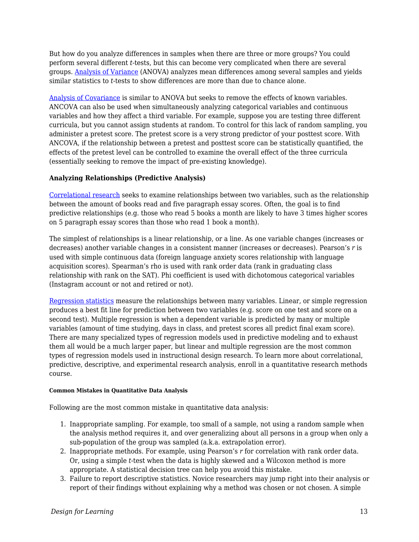But how do you analyze differences in samples when there are three or more groups? You could perform several different *t*-tests, but this can become very complicated when there are several groups. [Analysis of Variance](https://www.youtube.com/watch?v=oOuu8IBd-yo) (ANOVA) analyzes mean differences among several samples and yields similar statistics to *t*-tests to show differences are more than due to chance alone.

[Analysis of Covariance](https://www.youtube.com/watch?v=QdmG6uUtB4o) is similar to ANOVA but seeks to remove the effects of known variables. ANCOVA can also be used when simultaneously analyzing categorical variables and continuous variables and how they affect a third variable. For example, suppose you are testing three different curricula, but you cannot assign students at random. To control for this lack of random sampling, you administer a pretest score. The pretest score is a very strong predictor of your posttest score. With ANCOVA, if the relationship between a pretest and posttest score can be statistically quantified, the effects of the pretest level can be controlled to examine the overall effect of the three curricula (essentially seeking to remove the impact of pre-existing knowledge).

### **Analyzing Relationships (Predictive Analysis)**

[Correlational research](https://www.youtube.com/watch?v=GtV-VYdNt_g&list=RDCMUCX6b17PVsYBQ0ip5gyeme-Q&start_radio=1&t=192) seeks to examine relationships between two variables, such as the relationship between the amount of books read and five paragraph essay scores. Often, the goal is to find predictive relationships (e.g. those who read 5 books a month are likely to have 3 times higher scores on 5 paragraph essay scores than those who read 1 book a month).

The simplest of relationships is a linear relationship, or a line. As one variable changes (increases or decreases) another variable changes in a consistent manner (increases or decreases). Pearson's *r* is used with simple continuous data (foreign language anxiety scores relationship with language acquisition scores). Spearman's rho is used with rank order data (rank in graduating class relationship with rank on the SAT). Phi coefficient is used with dichotomous categorical variables (Instagram account or not and retired or not).

[Regression statistics](https://www.youtube.com/watch?list=PLQY24HnNvqgvgpr6HH7_ZDj2j9hbGp9uE&v=WWqE7YHR4Jc) measure the relationships between many variables. Linear, or simple regression produces a best fit line for prediction between two variables (e.g. score on one test and score on a second test). Multiple regression is when a dependent variable is predicted by many or multiple variables (amount of time studying, days in class, and pretest scores all predict final exam score). There are many specialized types of regression models used in predictive modeling and to exhaust them all would be a much larger paper, but linear and multiple regression are the most common types of regression models used in instructional design research. To learn more about correlational, predictive, descriptive, and experimental research analysis, enroll in a quantitative research methods course.

#### **Common Mistakes in Quantitative Data Analysis**

Following are the most common mistake in quantitative data analysis:

- 1. Inappropriate sampling. For example, too small of a sample, not using a random sample when the analysis method requires it, and over generalizing about all persons in a group when only a sub-population of the group was sampled (a.k.a. extrapolation error).
- 2. Inappropriate methods. For example, using Pearson's *r* for correlation with rank order data. Or, using a simple *t*-test when the data is highly skewed and a Wilcoxon method is more appropriate. A statistical decision tree can help you avoid this mistake.
- 3. Failure to report descriptive statistics. Novice researchers may jump right into their analysis or report of their findings without explaining why a method was chosen or not chosen. A simple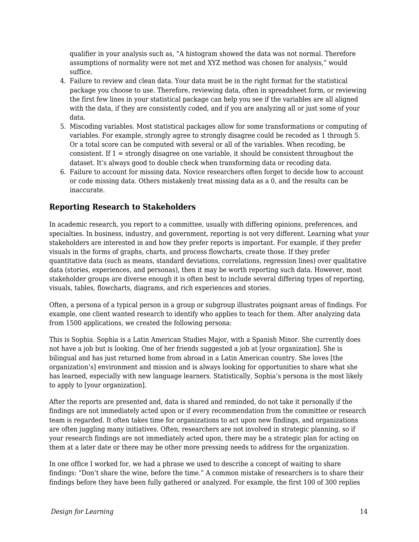qualifier in your analysis such as, "A histogram showed the data was not normal. Therefore assumptions of normality were not met and XYZ method was chosen for analysis," would suffice.

- 4. Failure to review and clean data. Your data must be in the right format for the statistical package you choose to use. Therefore, reviewing data, often in spreadsheet form, or reviewing the first few lines in your statistical package can help you see if the variables are all aligned with the data, if they are consistently coded, and if you are analyzing all or just some of your data.
- 5. Miscoding variables. Most statistical packages allow for some transformations or computing of variables. For example, strongly agree to strongly disagree could be recoded as 1 through 5. Or a total score can be computed with several or all of the variables. When recoding, be consistent. If 1 = strongly disagree on one variable, it should be consistent throughout the dataset. It's always good to double check when transforming data or recoding data.
- 6. Failure to account for missing data. Novice researchers often forget to decide how to account or code missing data. Others mistakenly treat missing data as a 0, and the results can be inaccurate.

## **Reporting Research to Stakeholders**

In academic research, you report to a committee, usually with differing opinions, preferences, and specialties. In business, industry, and government, reporting is not very different. Learning what your stakeholders are interested in and how they prefer reports is important. For example, if they prefer visuals in the forms of graphs, charts, and process flowcharts, create those. If they prefer quantitative data (such as means, standard deviations, correlations, regression lines) over qualitative data (stories, experiences, and personas), then it may be worth reporting such data. However, most stakeholder groups are diverse enough it is often best to include several differing types of reporting, visuals, tables, flowcharts, diagrams, and rich experiences and stories.

Often, a persona of a typical person in a group or subgroup illustrates poignant areas of findings. For example, one client wanted research to identify who applies to teach for them. After analyzing data from 1500 applications, we created the following persona:

This is Sophia. Sophia is a Latin American Studies Major, with a Spanish Minor. She currently does not have a job but is looking. One of her friends suggested a job at [your organization]. She is bilingual and has just returned home from abroad in a Latin American country. She loves [the organization's] environment and mission and is always looking for opportunities to share what she has learned, especially with new language learners. Statistically, Sophia's persona is the most likely to apply to [your organization].

After the reports are presented and, data is shared and reminded, do not take it personally if the findings are not immediately acted upon or if every recommendation from the committee or research team is regarded. It often takes time for organizations to act upon new findings, and organizations are often juggling many initiatives. Often, researchers are not involved in strategic planning, so if your research findings are not immediately acted upon, there may be a strategic plan for acting on them at a later date or there may be other more pressing needs to address for the organization.

In one office I worked for, we had a phrase we used to describe a concept of waiting to share findings: "Don't share the wine, before the time." A common mistake of researchers is to share their findings before they have been fully gathered or analyzed. For example, the first 100 of 300 replies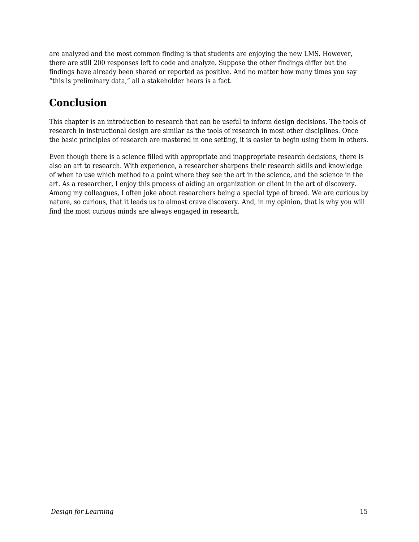are analyzed and the most common finding is that students are enjoying the new LMS. However, there are still 200 responses left to code and analyze. Suppose the other findings differ but the findings have already been shared or reported as positive. And no matter how many times you say "this is preliminary data," all a stakeholder hears is a fact.

# **Conclusion**

This chapter is an introduction to research that can be useful to inform design decisions. The tools of research in instructional design are similar as the tools of research in most other disciplines. Once the basic principles of research are mastered in one setting, it is easier to begin using them in others.

Even though there is a science filled with appropriate and inappropriate research decisions, there is also an art to research. With experience, a researcher sharpens their research skills and knowledge of when to use which method to a point where they see the art in the science, and the science in the art. As a researcher, I enjoy this process of aiding an organization or client in the art of discovery. Among my colleagues, I often joke about researchers being a special type of breed. We are curious by nature, so curious, that it leads us to almost crave discovery. And, in my opinion, that is why you will find the most curious minds are always engaged in research.